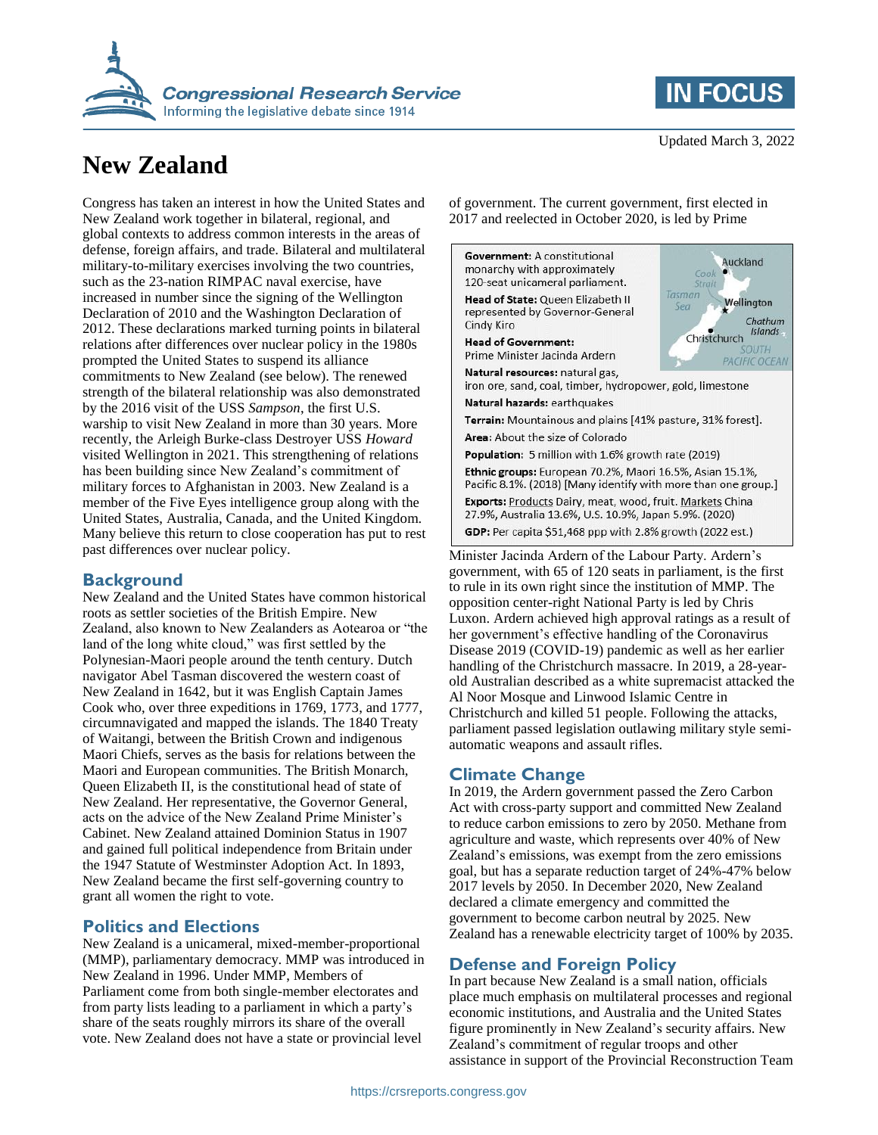

# **New Zealand**

Congress has taken an interest in how the United States and New Zealand work together in bilateral, regional, and global contexts to address common interests in the areas of defense, foreign affairs, and trade. Bilateral and multilateral military-to-military exercises involving the two countries, such as the 23-nation RIMPAC naval exercise, have increased in number since the signing of the Wellington Declaration of 2010 and the Washington Declaration of 2012. These declarations marked turning points in bilateral relations after differences over nuclear policy in the 1980s prompted the United States to suspend its alliance commitments to New Zealand (see below). The renewed strength of the bilateral relationship was also demonstrated by the 2016 visit of the USS *Sampson*, the first U.S. warship to visit New Zealand in more than 30 years. More recently, the Arleigh Burke-class Destroyer USS *Howard*  visited Wellington in 2021. This strengthening of relations has been building since New Zealand's commitment of military forces to Afghanistan in 2003. New Zealand is a member of the Five Eyes intelligence group along with the United States, Australia, Canada, and the United Kingdom. Many believe this return to close cooperation has put to rest past differences over nuclear policy.

#### **Background**

New Zealand and the United States have common historical roots as settler societies of the British Empire. New Zealand, also known to New Zealanders as Aotearoa or "the land of the long white cloud," was first settled by the Polynesian-Maori people around the tenth century. Dutch navigator Abel Tasman discovered the western coast of New Zealand in 1642, but it was English Captain James Cook who, over three expeditions in 1769, 1773, and 1777, circumnavigated and mapped the islands. The 1840 Treaty of Waitangi, between the British Crown and indigenous Maori Chiefs, serves as the basis for relations between the Maori and European communities. The British Monarch, Queen Elizabeth II, is the constitutional head of state of New Zealand. Her representative, the Governor General, acts on the advice of the New Zealand Prime Minister's Cabinet. New Zealand attained Dominion Status in 1907 and gained full political independence from Britain under the 1947 Statute of Westminster Adoption Act. In 1893, New Zealand became the first self-governing country to grant all women the right to vote.

#### **Politics and Elections**

New Zealand is a unicameral, mixed-member-proportional (MMP), parliamentary democracy. MMP was introduced in New Zealand in 1996. Under MMP, Members of Parliament come from both single-member electorates and from party lists leading to a parliament in which a party's share of the seats roughly mirrors its share of the overall vote. New Zealand does not have a state or provincial level

**IN FOCUS** 

of government. The current government, first elected in 2017 and reelected in October 2020, is led by Prime



Minister Jacinda Ardern of the Labour Party. Ardern's government, with 65 of 120 seats in parliament, is the first to rule in its own right since the institution of MMP. The opposition center-right National Party is led by Chris Luxon. Ardern achieved high approval ratings as a result of her government's effective handling of the Coronavirus Disease 2019 (COVID-19) pandemic as well as her earlier handling of the Christchurch massacre. In 2019, a 28-yearold Australian described as a white supremacist attacked the Al Noor Mosque and Linwood Islamic Centre in Christchurch and killed 51 people. Following the attacks, parliament passed legislation outlawing military style semiautomatic weapons and assault rifles.

#### **Climate Change**

In 2019, the Ardern government passed the Zero Carbon Act with cross-party support and committed New Zealand to reduce carbon emissions to zero by 2050. Methane from agriculture and waste, which represents over 40% of New Zealand's emissions, was exempt from the zero emissions goal, but has a separate reduction target of 24%-47% below 2017 levels by 2050. In December 2020, New Zealand declared a climate emergency and committed the government to become carbon neutral by 2025. New Zealand has a renewable electricity target of 100% by 2035.

#### **Defense and Foreign Policy**

In part because New Zealand is a small nation, officials place much emphasis on multilateral processes and regional economic institutions, and Australia and the United States figure prominently in New Zealand's security affairs. New Zealand's commitment of regular troops and other assistance in support of the Provincial Reconstruction Team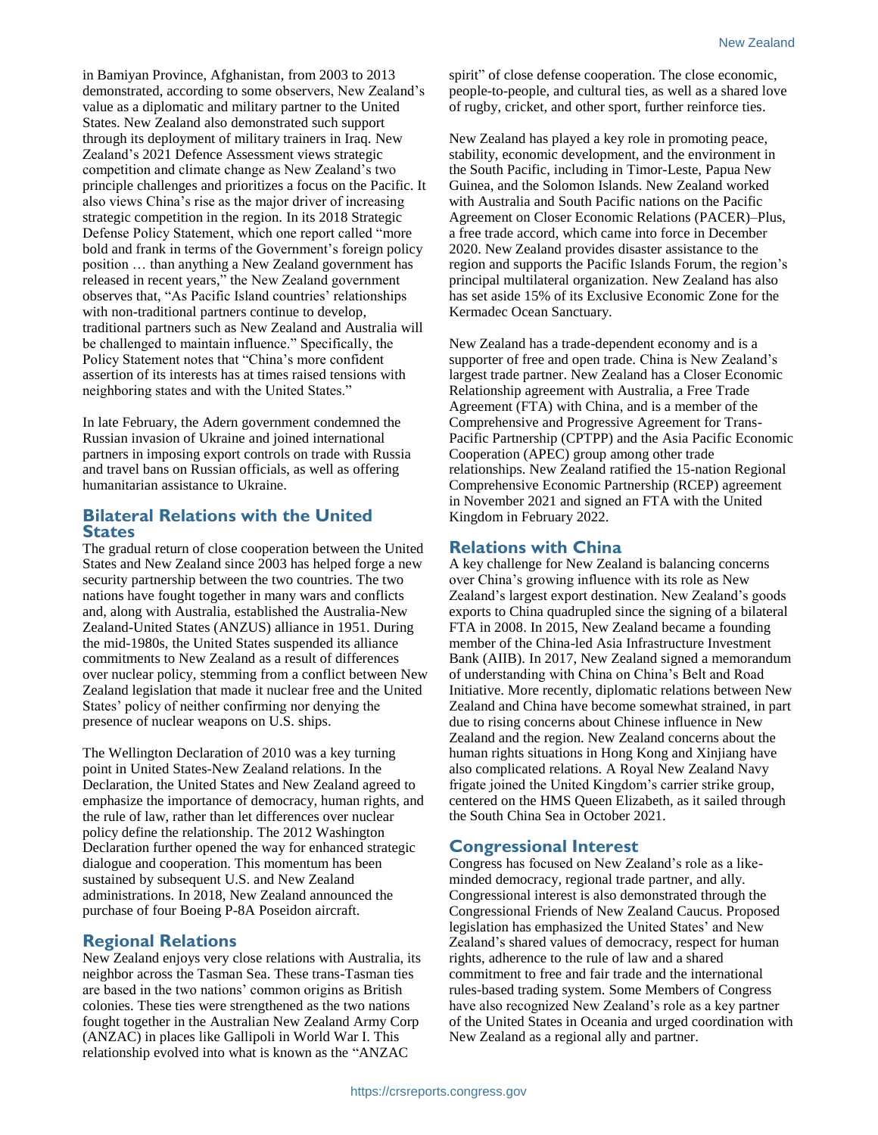in Bamiyan Province, Afghanistan, from 2003 to 2013 demonstrated, according to some observers, New Zealand's value as a diplomatic and military partner to the United States. New Zealand also demonstrated such support through its deployment of military trainers in Iraq. New Zealand's 2021 Defence Assessment views strategic competition and climate change as New Zealand's two principle challenges and prioritizes a focus on the Pacific. It also views China's rise as the major driver of increasing strategic competition in the region. In its 2018 Strategic Defense Policy Statement, which one report called "more bold and frank in terms of the Government's foreign policy position … than anything a New Zealand government has released in recent years," the New Zealand government observes that, "As Pacific Island countries' relationships with non-traditional partners continue to develop, traditional partners such as New Zealand and Australia will be challenged to maintain influence." Specifically, the Policy Statement notes that "China's more confident assertion of its interests has at times raised tensions with neighboring states and with the United States."

In late February, the Adern government condemned the Russian invasion of Ukraine and joined international partners in imposing export controls on trade with Russia and travel bans on Russian officials, as well as offering humanitarian assistance to Ukraine.

#### **Bilateral Relations with the United States**

The gradual return of close cooperation between the United States and New Zealand since 2003 has helped forge a new security partnership between the two countries. The two nations have fought together in many wars and conflicts and, along with Australia, established the Australia-New Zealand-United States (ANZUS) alliance in 1951. During the mid-1980s, the United States suspended its alliance commitments to New Zealand as a result of differences over nuclear policy, stemming from a conflict between New Zealand legislation that made it nuclear free and the United States' policy of neither confirming nor denying the presence of nuclear weapons on U.S. ships.

The Wellington Declaration of 2010 was a key turning point in United States-New Zealand relations. In the Declaration, the United States and New Zealand agreed to emphasize the importance of democracy, human rights, and the rule of law, rather than let differences over nuclear policy define the relationship. The 2012 Washington Declaration further opened the way for enhanced strategic dialogue and cooperation. This momentum has been sustained by subsequent U.S. and New Zealand administrations. In 2018, New Zealand announced the purchase of four Boeing P-8A Poseidon aircraft.

### **Regional Relations**

New Zealand enjoys very close relations with Australia, its neighbor across the Tasman Sea. These trans-Tasman ties are based in the two nations' common origins as British colonies. These ties were strengthened as the two nations fought together in the Australian New Zealand Army Corp (ANZAC) in places like Gallipoli in World War I. This relationship evolved into what is known as the "ANZAC

spirit" of close defense cooperation. The close economic, people-to-people, and cultural ties, as well as a shared love of rugby, cricket, and other sport, further reinforce ties.

New Zealand has played a key role in promoting peace, stability, economic development, and the environment in the South Pacific, including in Timor-Leste, Papua New Guinea, and the Solomon Islands. New Zealand worked with Australia and South Pacific nations on the Pacific Agreement on Closer Economic Relations (PACER)–Plus, a free trade accord, which came into force in December 2020. New Zealand provides disaster assistance to the region and supports the Pacific Islands Forum, the region's principal multilateral organization. New Zealand has also has set aside 15% of its Exclusive Economic Zone for the Kermadec Ocean Sanctuary.

New Zealand has a trade-dependent economy and is a supporter of free and open trade. China is New Zealand's largest trade partner. New Zealand has a Closer Economic Relationship agreement with Australia, a Free Trade Agreement (FTA) with China, and is a member of the Comprehensive and Progressive Agreement for Trans-Pacific Partnership (CPTPP) and the Asia Pacific Economic Cooperation (APEC) group among other trade relationships. New Zealand ratified the 15-nation Regional Comprehensive Economic Partnership (RCEP) agreement in November 2021 and signed an FTA with the United Kingdom in February 2022.

#### **Relations with China**

A key challenge for New Zealand is balancing concerns over China's growing influence with its role as New Zealand's largest export destination. New Zealand's goods exports to China quadrupled since the signing of a bilateral FTA in 2008. In 2015, New Zealand became a founding member of the China-led Asia Infrastructure Investment Bank (AIIB). In 2017, New Zealand signed a memorandum of understanding with China on China's Belt and Road Initiative. More recently, diplomatic relations between New Zealand and China have become somewhat strained, in part due to rising concerns about Chinese influence in New Zealand and the region. New Zealand concerns about the human rights situations in Hong Kong and Xinjiang have also complicated relations. A Royal New Zealand Navy frigate joined the United Kingdom's carrier strike group, centered on the HMS Queen Elizabeth, as it sailed through the South China Sea in October 2021.

#### **Congressional Interest**

Congress has focused on New Zealand's role as a likeminded democracy, regional trade partner, and ally. Congressional interest is also demonstrated through the Congressional Friends of New Zealand Caucus. Proposed legislation has emphasized the United States' and New Zealand's shared values of democracy, respect for human rights, adherence to the rule of law and a shared commitment to free and fair trade and the international rules-based trading system. Some Members of Congress have also recognized New Zealand's role as a key partner of the United States in Oceania and urged coordination with New Zealand as a regional ally and partner.